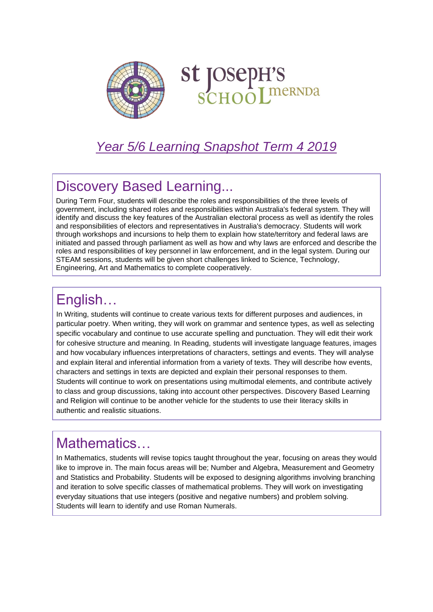

# St JOSepH'S<br>SCHOOLINERNDA

#### *Year 5/6 Learning Snapshot Term 4 2019*

# Discovery Based Learning...

During Term Four, students will describe the roles and responsibilities of the three levels of government, including shared roles and responsibilities within Australia's federal system. They will identify and discuss the key features of the Australian electoral process as well as identify the roles and responsibilities of electors and representatives in Australia's democracy. Students will work through workshops and incursions to help them to explain how state/territory and federal laws are initiated and passed through parliament as well as how and why laws are enforced and describe the roles and responsibilities of key personnel in law enforcement, and in the legal system. During our STEAM sessions, students will be given short challenges linked to Science, Technology, Engineering, Art and Mathematics to complete cooperatively.

# English…

In Writing, students will continue to create various texts for different purposes and audiences, in particular poetry. When writing, they will work on grammar and sentence types, as well as selecting specific vocabulary and continue to use accurate spelling and punctuation. They will edit their work for cohesive structure and meaning. In Reading, students will investigate language features, images and how vocabulary influences interpretations of characters, settings and events. They will analyse and explain literal and inferential information from a variety of texts. They will describe how events, characters and settings in texts are depicted and explain their personal responses to them. Students will continue to work on presentations using multimodal elements, and contribute actively to class and group discussions, taking into account other perspectives. Discovery Based Learning and Religion will continue to be another vehicle for the students to use their literacy skills in authentic and realistic situations.

#### Mathematics…

In Mathematics, students will revise topics taught throughout the year, focusing on areas they would like to improve in. The main focus areas will be; Number and Algebra, Measurement and Geometry and Statistics and Probability. Students will be exposed to designing algorithms involving branching and iteration to solve specific classes of mathematical problems. They will work on investigating everyday situations that use integers (positive and negative numbers) and problem solving. Students will learn to identify and use Roman Numerals.